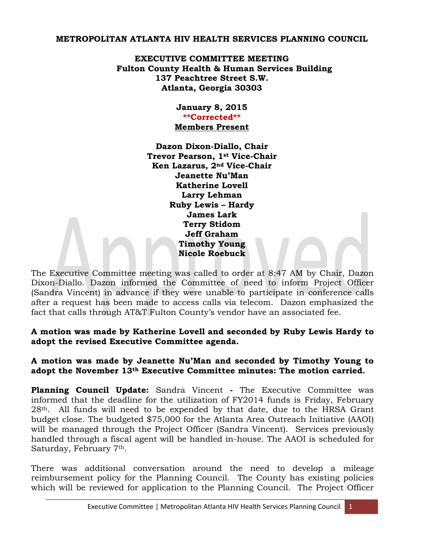## **METROPOLITAN ATLANTA HIV HEALTH SERVICES PLANNING COUNCIL**

**EXECUTIVE COMMITTEE MEETING Fulton County Health & Human Services Building 137 Peachtree Street S.W. Atlanta, Georgia 30303** 

#### **January 8, 2015 \*\*Corrected\*\* Members Present**

**Dazon Dixon-Diallo, Chair Trevor Pearson, 1st Vice-Chair Ken Lazarus, 2nd Vice-Chair Jeanette Nu'Man Katherine Lovell Larry Lehman Ruby Lewis – Hardy James Lark Terry Stidom Jeff Graham Timothy Young Nicole Roebuck** 

The Executive Committee meeting was called to order at 8:47 AM by Chair, Dazon Dixon-Diallo. Dazon informed the Committee of need to inform Project Officer (Sandra Vincent) in advance if they were unable to participate in conference calls after a request has been made to access calls via telecom. Dazon emphasized the fact that calls through AT&T Fulton County's vendor have an associated fee.

**A motion was made by Katherine Lovell and seconded by Ruby Lewis Hardy to adopt the revised Executive Committee agenda.**

# **A motion was made by Jeanette Nu'Man and seconded by Timothy Young to adopt the November 13th Executive Committee minutes: The motion carried.**

**Planning Council Update:** Sandra Vincent **-** The Executive Committee was informed that the deadline for the utilization of FY2014 funds is Friday, February 28th. All funds will need to be expended by that date, due to the HRSA Grant budget close. The budgeted \$75,000 for the Atlanta Area Outreach Initiative (AAOI) will be managed through the Project Officer (Sandra Vincent). Services previously handled through a fiscal agent will be handled in-house. The AAOI is scheduled for Saturday, February 7<sup>th</sup>.

There was additional conversation around the need to develop a mileage reimbursement policy for the Planning Council. The County has existing policies which will be reviewed for application to the Planning Council. The Project Officer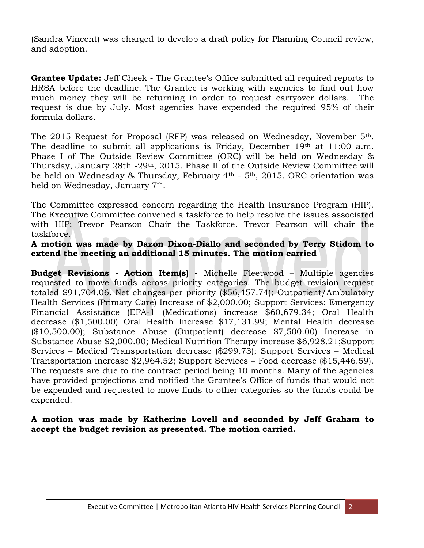(Sandra Vincent) was charged to develop a draft policy for Planning Council review, and adoption.

**Grantee Update:** Jeff Cheek **-** The Grantee's Office submitted all required reports to HRSA before the deadline. The Grantee is working with agencies to find out how much money they will be returning in order to request carryover dollars. The request is due by July. Most agencies have expended the required 95% of their formula dollars.

The 2015 Request for Proposal (RFP) was released on Wednesday, November 5<sup>th</sup>. The deadline to submit all applications is Friday, December 19<sup>th</sup> at 11:00 a.m. Phase I of The Outside Review Committee (ORC) will be held on Wednesday & Thursday, January 28th -29th, 2015. Phase II of the Outside Review Committee will be held on Wednesday & Thursday, February 4th - 5th, 2015. ORC orientation was held on Wednesday, January 7th.

The Committee expressed concern regarding the Health Insurance Program (HIP). The Executive Committee convened a taskforce to help resolve the issues associated with HIP; Trevor Pearson Chair the Taskforce. Trevor Pearson will chair the taskforce.

### **A motion was made by Dazon Dixon-Diallo and seconded by Terry Stidom to extend the meeting an additional 15 minutes. The motion carried**

**Budget Revisions - Action Item(s) -** Michelle Fleetwood – Multiple agencies requested to move funds across priority categories. The budget revision request totaled \$91,704.06. Net changes per priority (\$56,457.74); Outpatient/Ambulatory Health Services (Primary Care) Increase of \$2,000.00; Support Services: Emergency Financial Assistance (EFA-1 (Medications) increase \$60,679.34; Oral Health decrease (\$1,500.00) Oral Health Increase \$17,131.99; Mental Health decrease (\$10,500.00); Substance Abuse (Outpatient) decrease \$7,500.00) Increase in Substance Abuse \$2,000.00; Medical Nutrition Therapy increase \$6,928.21;Support Services – Medical Transportation decrease (\$299.73); Support Services – Medical Transportation increase \$2,964.52; Support Services – Food decrease (\$15,446.59). The requests are due to the contract period being 10 months. Many of the agencies have provided projections and notified the Grantee's Office of funds that would not be expended and requested to move finds to other categories so the funds could be expended.

### **A motion was made by Katherine Lovell and seconded by Jeff Graham to accept the budget revision as presented. The motion carried.**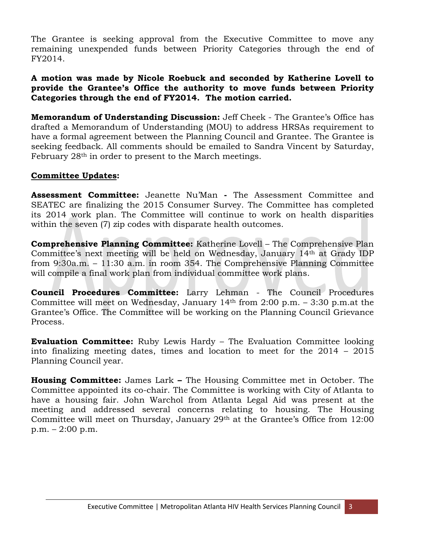The Grantee is seeking approval from the Executive Committee to move any remaining unexpended funds between Priority Categories through the end of FY2014.

# **A motion was made by Nicole Roebuck and seconded by Katherine Lovell to provide the Grantee's Office the authority to move funds between Priority Categories through the end of FY2014. The motion carried.**

**Memorandum of Understanding Discussion:** Jeff Cheek - The Grantee's Office has drafted a Memorandum of Understanding (MOU) to address HRSAs requirement to have a formal agreement between the Planning Council and Grantee. The Grantee is seeking feedback. All comments should be emailed to Sandra Vincent by Saturday, February 28<sup>th</sup> in order to present to the March meetings.

# **Committee Updates:**

**Assessment Committee:** Jeanette Nu'Man **-** The Assessment Committee and SEATEC are finalizing the 2015 Consumer Survey. The Committee has completed its 2014 work plan. The Committee will continue to work on health disparities within the seven (7) zip codes with disparate health outcomes.

**Comprehensive Planning Committee:** Katherine Lovell – The Comprehensive Plan Committee's next meeting will be held on Wednesday, January 14th at Grady IDP from 9:30a.m. – 11:30 a.m. in room 354. The Comprehensive Planning Committee will compile a final work plan from individual committee work plans.

**Council Procedures Committee:** Larry Lehman - The Council Procedures Committee will meet on Wednesday, January  $14<sup>th</sup>$  from 2:00 p.m.  $-$  3:30 p.m. at the Grantee's Office. The Committee will be working on the Planning Council Grievance Process.

**Evaluation Committee:** Ruby Lewis Hardy – The Evaluation Committee looking into finalizing meeting dates, times and location to meet for the 2014 – 2015 Planning Council year.

**Housing Committee:** James Lark **–** The Housing Committee met in October. The Committee appointed its co-chair. The Committee is working with City of Atlanta to have a housing fair. John Warchol from Atlanta Legal Aid was present at the meeting and addressed several concerns relating to housing. The Housing Committee will meet on Thursday, January 29th at the Grantee's Office from 12:00 p.m. – 2:00 p.m.